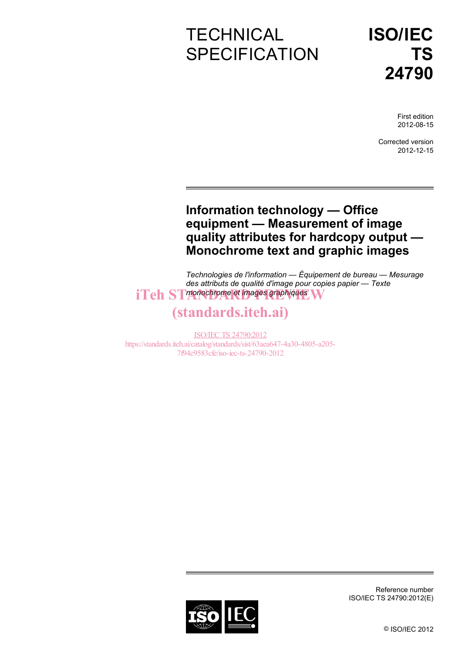# **TECHNICAL SPECIFICATION**

# **ISO/IEC TS 24790**

First edition 2012-08-15

Corrected version 2012-12-15

## **Information technology — Office equipment — Measurement of image quality attributes for hardcopy output — Monochrome text and graphic images**

*Technologies de l'information — Équipement de bureau — Mesurage des attributs de qualité d'image pour copies papier — Texte*  iTeh STMonochrome et images graphiques W

## (standards.iteh.ai)

ISO/IEC TS 24790:2012 https://standards.iteh.ai/catalog/standards/sist/63aea647-4a30-4805-a205- 7f94c9583cfe/iso-iec-ts-24790-2012



Reference number ISO/IEC TS 24790:2012(E)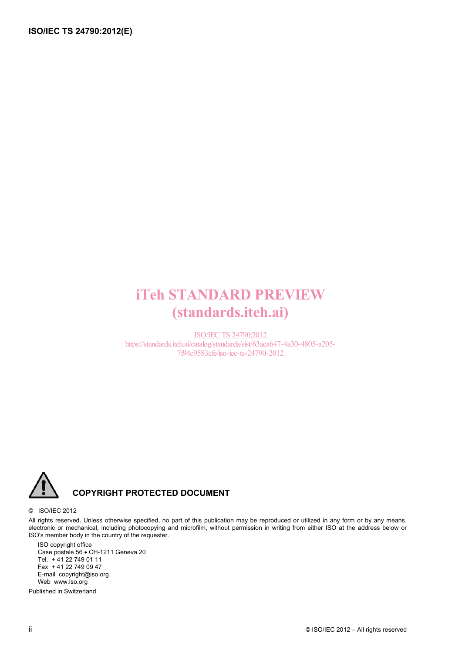## iTeh STANDARD PREVIEW (standards.iteh.ai)

ISO/IEC TS 24790:2012 https://standards.iteh.ai/catalog/standards/sist/63aea647-4a30-4805-a205- 7f94c9583cfe/iso-iec-ts-24790-2012



#### © ISO/IEC 2012

All rights reserved. Unless otherwise specified, no part of this publication may be reproduced or utilized in any form or by any means, electronic or mechanical, including photocopying and microfilm, without permission in writing from either ISO at the address below or ISO's member body in the country of the requester.

ISO copyright office Case postale 56 · CH-1211 Geneva 20 Tel. + 41 22 749 01 11 Fax + 41 22 749 09 47 E-mail copyright@iso.org Web www.iso.org

Published in Switzerland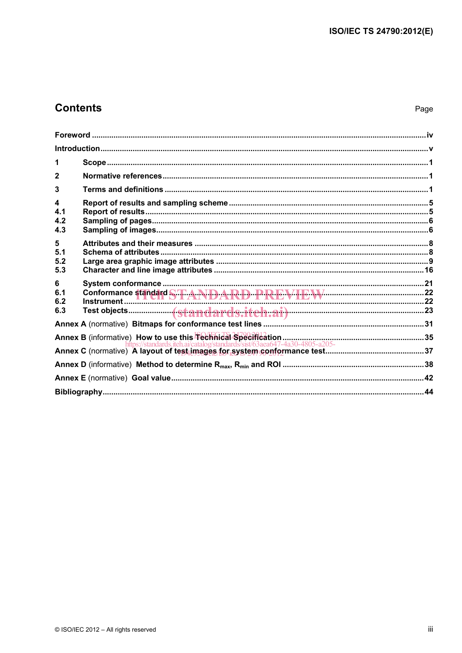## **Contents**

| 1                                            |                                       |  |
|----------------------------------------------|---------------------------------------|--|
| 2                                            |                                       |  |
| 3                                            |                                       |  |
| $\overline{\mathbf{4}}$<br>4.1<br>4.2<br>4.3 |                                       |  |
| 5<br>5.1<br>5.2<br>5.3                       |                                       |  |
| 6<br>6.1<br>6.2<br>6.3                       | Conformance standard STANDARD PREVIEW |  |
|                                              |                                       |  |
|                                              |                                       |  |
|                                              |                                       |  |
|                                              |                                       |  |
|                                              |                                       |  |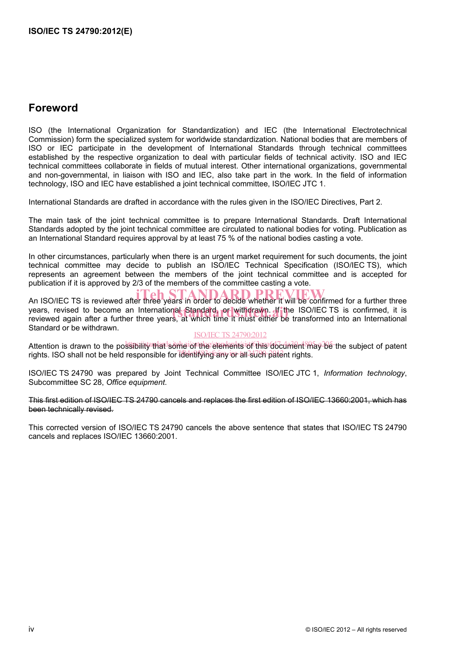## **Foreword**

ISO (the International Organization for Standardization) and IEC (the International Electrotechnical Commission) form the specialized system for worldwide standardization. National bodies that are members of ISO or IEC participate in the development of International Standards through technical committees established by the respective organization to deal with particular fields of technical activity. ISO and IEC technical committees collaborate in fields of mutual interest. Other international organizations, governmental and non-governmental, in liaison with ISO and IEC, also take part in the work. In the field of information technology, ISO and IEC have established a joint technical committee, ISO/IEC JTC 1.

International Standards are drafted in accordance with the rules given in the ISO/IEC Directives, Part 2.

The main task of the joint technical committee is to prepare International Standards. Draft International Standards adopted by the joint technical committee are circulated to national bodies for voting. Publication as an International Standard requires approval by at least 75 % of the national bodies casting a vote.

In other circumstances, particularly when there is an urgent market requirement for such documents, the joint technical committee may decide to publish an ISO/IEC Technical Specification (ISO/IEC TS), which represents an agreement between the members of the joint technical committee and is accepted for publication if it is approved by 2/3 of the members of the committee casting a vote.

An ISO/IEC TS is reviewed after three years in order to decide whether it will be confirmed for a further three years, revised to become an International Standard, or withdrawn. If the ISO/IEC TS is confirmed, it is<br>reviewed again after a further three vears, at which time it must either he transformed into an International reviewed again after a further three years, at which time it must either be transformed into an International Standard or be withdrawn.

#### ISO/IEC TS 24790:2012

Attention is drawn to the possibility that some of the elements of this document may be the subject of patent rights. ISO shall not be held responsible for identifying any ior all such patent rights.

ISO/IEC TS 24790 was prepared by Joint Technical Committee ISO/IEC JTC 1, *Information technology*, Subcommittee SC 28, *Office equipment*.

This first edition of ISO/IEC TS 24790 cancels and replaces the first edition of ISO/IEC 13660:2001, which has been technically revised.

This corrected version of ISO/IEC TS 24790 cancels the above sentence that states that ISO/IEC TS 24790 cancels and replaces ISO/IEC 13660:2001.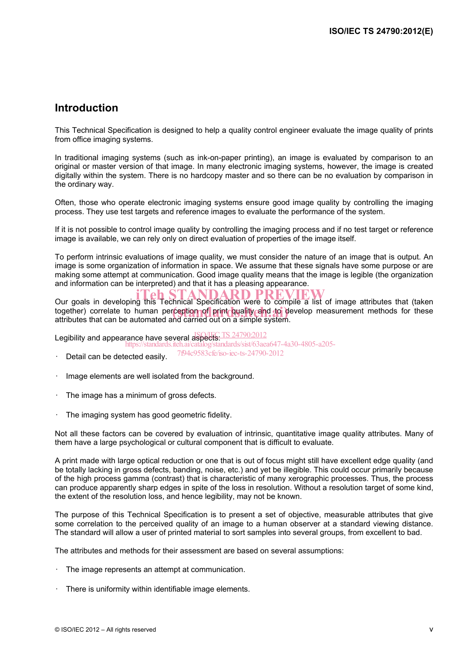## **Introduction**

This Technical Specification is designed to help a quality control engineer evaluate the image quality of prints from office imaging systems.

In traditional imaging systems (such as ink-on-paper printing), an image is evaluated by comparison to an original or master version of that image. In many electronic imaging systems, however, the image is created digitally within the system. There is no hardcopy master and so there can be no evaluation by comparison in the ordinary way.

Often, those who operate electronic imaging systems ensure good image quality by controlling the imaging process. They use test targets and reference images to evaluate the performance of the system.

If it is not possible to control image quality by controlling the imaging process and if no test target or reference image is available, we can rely only on direct evaluation of properties of the image itself.

To perform intrinsic evaluations of image quality, we must consider the nature of an image that is output. An image is some organization of information in space. We assume that these signals have some purpose or are making some attempt at communication. Good image quality means that the image is legible (the organization and information can be interpreted) and that it has a pleasing appearance.

Our goals in developing this Technical Specification were to compile a list of image attributes that (taken together) correlate to human perception of print quality and to develop measurement methods for these attributes that can be automated and carried out on a simple system. attributes that can be automated and carried out on a simple system.

Legibility and appearance have several aspects: TS 24790:2012

https://standards/sist/63aea647-4a30-4805-a205-

- Detail can be detected easily. 7f94c9583cfe/iso-iec-ts-24790-2012
- Image elements are well isolated from the background.
- The image has a minimum of gross defects.
- The imaging system has good geometric fidelity.

Not all these factors can be covered by evaluation of intrinsic, quantitative image quality attributes. Many of them have a large psychological or cultural component that is difficult to evaluate.

A print made with large optical reduction or one that is out of focus might still have excellent edge quality (and be totally lacking in gross defects, banding, noise, etc.) and yet be illegible. This could occur primarily because of the high process gamma (contrast) that is characteristic of many xerographic processes. Thus, the process can produce apparently sharp edges in spite of the loss in resolution. Without a resolution target of some kind, the extent of the resolution loss, and hence legibility, may not be known.

The purpose of this Technical Specification is to present a set of objective, measurable attributes that give some correlation to the perceived quality of an image to a human observer at a standard viewing distance. The standard will allow a user of printed material to sort samples into several groups, from excellent to bad.

The attributes and methods for their assessment are based on several assumptions:

- The image represents an attempt at communication.
- There is uniformity within identifiable image elements.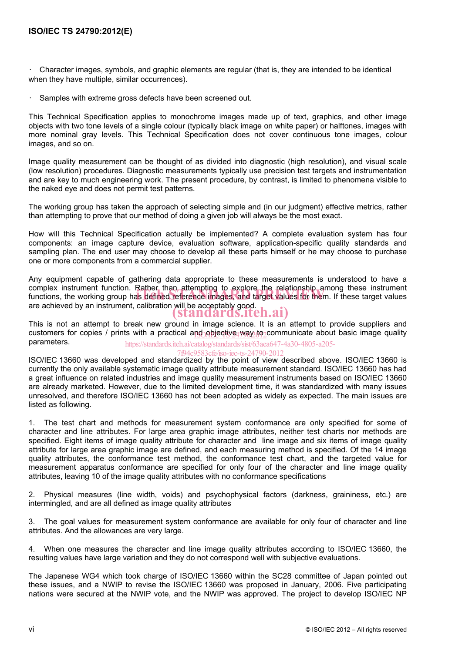• Character images, symbols, and graphic elements are regular (that is, they are intended to be identical when they have multiple, similar occurrences).

Samples with extreme gross defects have been screened out.

This Technical Specification applies to monochrome images made up of text, graphics, and other image objects with two tone levels of a single colour (typically black image on white paper) or halftones, images with more nominal gray levels. This Technical Specification does not cover continuous tone images, colour images, and so on.

Image quality measurement can be thought of as divided into diagnostic (high resolution), and visual scale (low resolution) procedures. Diagnostic measurements typically use precision test targets and instrumentation and are key to much engineering work. The present procedure, by contrast, is limited to phenomena visible to the naked eye and does not permit test patterns.

The working group has taken the approach of selecting simple and (in our judgment) effective metrics, rather than attempting to prove that our method of doing a given job will always be the most exact.

How will this Technical Specification actually be implemented? A complete evaluation system has four components: an image capture device, evaluation software, application-specific quality standards and sampling plan. The end user may choose to develop all these parts himself or he may choose to purchase one or more components from a commercial supplier.

Any equipment capable of gathering data appropriate to these measurements is understood to have a complex instrument function. Rather than attempting to explore the relationship among these instrument complex instrument function. Rather than, attempting to explore the relationship among these instrument<br>functions, the working group has defined reference images, and target values for them. If these target values are achieved by an instrument, calibration will be acceptably good.

## (standards.iteh.ai)

This is not an attempt to break new ground in image science. It is an attempt to provide suppliers and customers for copies / prints with a practical and objective way to communicate about basic image quality parameters. https://standards.iteh.ai/catalog/standards/sist/63aea647-4a30-4805-a205-

7f94c9583cfe/iso-iec-ts-24790-2012

ISO/IEC 13660 was developed and standardized by the point of view described above. ISO/IEC 13660 is currently the only available systematic image quality attribute measurement standard. ISO/IEC 13660 has had a great influence on related industries and image quality measurement instruments based on ISO/IEC 13660 are already marketed. However, due to the limited development time, it was standardized with many issues unresolved, and therefore ISO/IEC 13660 has not been adopted as widely as expected. The main issues are listed as following.

1. The test chart and methods for measurement system conformance are only specified for some of character and line attributes. For large area graphic image attributes, neither test charts nor methods are specified. Eight items of image quality attribute for character and line image and six items of image quality attribute for large area graphic image are defined, and each measuring method is specified. Of the 14 image quality attributes, the conformance test method, the conformance test chart, and the targeted value for measurement apparatus conformance are specified for only four of the character and line image quality attributes, leaving 10 of the image quality attributes with no conformance specifications

2. Physical measures (line width, voids) and psychophysical factors (darkness, graininess, etc.) are intermingled, and are all defined as image quality attributes

3. The goal values for measurement system conformance are available for only four of character and line attributes. And the allowances are very large.

4. When one measures the character and line image quality attributes according to ISO/IEC 13660, the resulting values have large variation and they do not correspond well with subjective evaluations.

The Japanese WG4 which took charge of ISO/IEC 13660 within the SC28 committee of Japan pointed out these issues, and a NWIP to revise the ISO/IEC 13660 was proposed in January, 2006. Five participating nations were secured at the NWIP vote, and the NWIP was approved. The project to develop ISO/IEC NP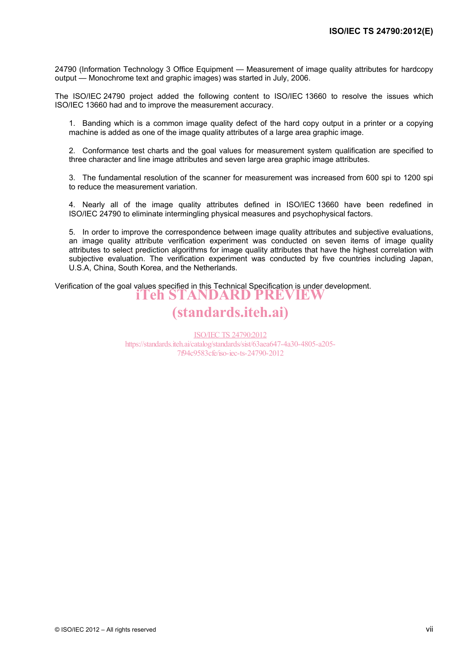24790 (Information Technology 3 Office Equipment — Measurement of image quality attributes for hardcopy output — Monochrome text and graphic images) was started in July, 2006.

The ISO/IEC 24790 project added the following content to ISO/IEC 13660 to resolve the issues which ISO/IEC 13660 had and to improve the measurement accuracy.

1. Banding which is a common image quality defect of the hard copy output in a printer or a copying machine is added as one of the image quality attributes of a large area graphic image.

2. Conformance test charts and the goal values for measurement system qualification are specified to three character and line image attributes and seven large area graphic image attributes.

3. The fundamental resolution of the scanner for measurement was increased from 600 spi to 1200 spi to reduce the measurement variation.

4. Nearly all of the image quality attributes defined in ISO/IEC 13660 have been redefined in ISO/IEC 24790 to eliminate intermingling physical measures and psychophysical factors.

5. In order to improve the correspondence between image quality attributes and subjective evaluations, an image quality attribute verification experiment was conducted on seven items of image quality attributes to select prediction algorithms for image quality attributes that have the highest correlation with subjective evaluation. The verification experiment was conducted by five countries including Japan, U.S.A, China, South Korea, and the Netherlands.

Verification of the goal values specified in this Technical Specification is under development.

iTeh STANDARD PREVIEW

## (standards.iteh.ai)

ISO/IEC TS 24790:2012 https://standards.iteh.ai/catalog/standards/sist/63aea647-4a30-4805-a205- 7f94c9583cfe/iso-iec-ts-24790-2012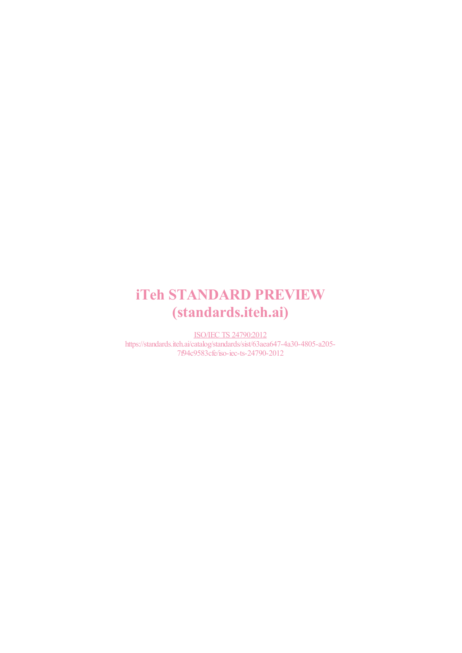## iTeh STANDARD PREVIEW (standards.iteh.ai)

ISO/IEC TS 24790:2012 https://standards.iteh.ai/catalog/standards/sist/63aea647-4a30-4805-a205- 7f94c9583cfe/iso-iec-ts-24790-2012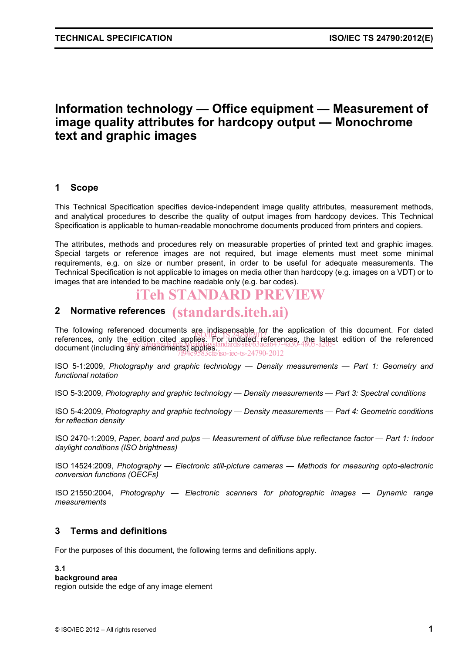## **Information technology — Office equipment — Measurement of image quality attributes for hardcopy output — Monochrome text and graphic images**

## **1 Scope**

This Technical Specification specifies device-independent image quality attributes, measurement methods, and analytical procedures to describe the quality of output images from hardcopy devices. This Technical Specification is applicable to human-readable monochrome documents produced from printers and copiers.

The attributes, methods and procedures rely on measurable properties of printed text and graphic images. Special targets or reference images are not required, but image elements must meet some minimal requirements, e.g. on size or number present, in order to be useful for adequate measurements. The Technical Specification is not applicable to images on media other than hardcopy (e.g. images on a VDT) or to images that are intended to be machine readable only (e.g. bar codes).

## iTeh STANDARD PREVIEW

## **2 Normative references**  (standards.iteh.ai)

The following referenced documents are indispensable for the application of this document. For dated rife following referenced documents are indispensable, by the application of this document. For dated references, only the edition cited applies. For undated references, the latest edition of the referenced document (including any amendments) applies. https://standards.iteh.ai/catalog/standards/sist/63aea647-4a30-4805-a205- 7f94c9583cfe/iso-iec-ts-24790-2012

ISO 5-1:2009, *Photography and graphic technology — Density measurements — Part 1: Geometry and functional notation* 

ISO 5-3:2009, *Photography and graphic technology — Density measurements — Part 3: Spectral conditions* 

ISO 5-4:2009, *Photography and graphic technology — Density measurements — Part 4: Geometric conditions for reflection density* 

ISO 2470-1:2009, *Paper, board and pulps — Measurement of diffuse blue reflectance factor — Part 1: Indoor daylight conditions (ISO brightness)* 

ISO 14524:2009, *Photography — Electronic still-picture cameras — Methods for measuring opto-electronic conversion functions (OECFs)* 

ISO 21550:2004, *Photography — Electronic scanners for photographic images — Dynamic range measurements* 

## **3 Terms and definitions**

For the purposes of this document, the following terms and definitions apply.

## **3.1**

#### **background area**

region outside the edge of any image element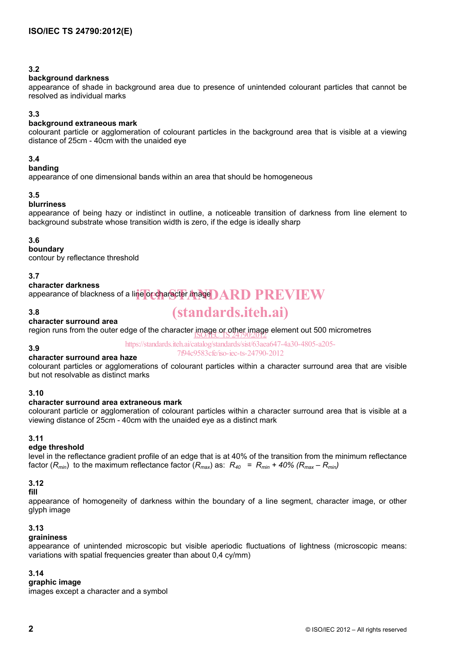## **3.2**

## **background darkness**

appearance of shade in background area due to presence of unintended colourant particles that cannot be resolved as individual marks

## **3.3**

## **background extraneous mark**

colourant particle or agglomeration of colourant particles in the background area that is visible at a viewing distance of 25cm - 40cm with the unaided eye

## **3.4**

## **banding**

appearance of one dimensional bands within an area that should be homogeneous

## **3.5**

#### **blurriness**

appearance of being hazy or indistinct in outline, a noticeable transition of darkness from line element to background substrate whose transition width is zero, if the edge is ideally sharp

## **3.6**

## **boundary**

contour by reflectance threshold

## **3.7**

## **character darkness**

appearance of blackness of a line or character image  $\bf ARD PREVIEW$ 

#### **3.8**

## **character surround area**

region runs from the outer edge of the character image or other image element out 500 micrometres regional

## **3.9**

https://standards.iteh.ai/catalog/standards/sist/63aea647-4a30-4805-a205- 7f94c9583cfe/iso-iec-ts-24790-2012

(standards.iteh.ai)

## **character surround area haze**

colourant particles or agglomerations of colourant particles within a character surround area that are visible but not resolvable as distinct marks

## **3.10**

## **character surround area extraneous mark**

colourant particle or agglomeration of colourant particles within a character surround area that is visible at a viewing distance of 25cm - 40cm with the unaided eye as a distinct mark

## **3.11**

## **edge threshold**

level in the reflectance gradient profile of an edge that is at 40% of the transition from the minimum reflectance factor (*Rmin*) to the maximum reflectance factor (*Rmax*) as: *R40 = Rmin + 40% (Rmax – Rmin)*

## **3.12**

**fill** 

appearance of homogeneity of darkness within the boundary of a line segment, character image, or other glyph image

## **3.13**

## **graininess**

appearance of unintended microscopic but visible aperiodic fluctuations of lightness (microscopic means: variations with spatial frequencies greater than about 0,4 cy/mm)

## **3.14**

**graphic image** 

images except a character and a symbol

#### **2** © ISO/IEC 2012 – All rights reserved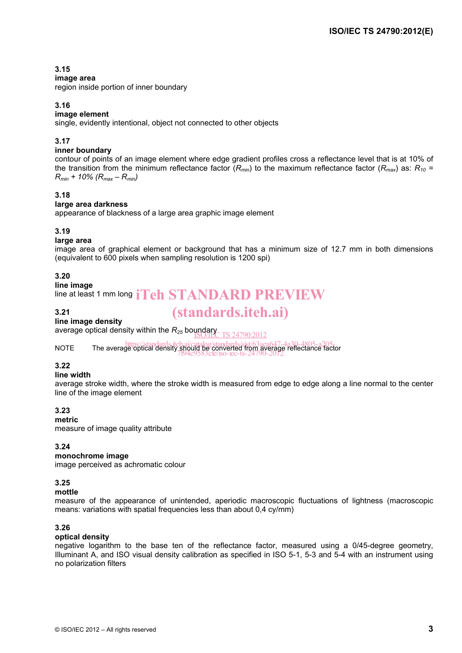## **3.15**

#### **image area**

region inside portion of inner boundary

## **3.16**

## **image element**

single, evidently intentional, object not connected to other objects

## **3.17**

## **inner boundary**

contour of points of an image element where edge gradient profiles cross a reflectance level that is at 10% of the transition from the minimum reflectance factor  $(R_{min})$  to the maximum reflectance factor  $(R_{max})$  as:  $R_{10}$  = *Rmin + 10% (Rmax – Rmin)* 

## **3.18**

## **large area darkness**

appearance of blackness of a large area graphic image element

## **3.19**

## **large area**

image area of graphical element or background that has a minimum size of 12.7 mm in both dimensions (equivalent to 600 pixels when sampling resolution is 1200 spi)

## **3.20**

**line image** 

line at least 1 mm long **iTeh STANDARD PREVIEW** 

## **3.21**

## (standards.iteh.ai)

## **line image density**

average optical density within the  $R_{25}$  boundary TS 24790:2012

https://standards.iteh.ai/catalog/standards/sist/63aea647-4a30-4805-a205-<br>NOTE The average optical density should be converted from average reflectance factor 7f94c9583cfe/iso-iec-ts-24790-2012

## **3.22**

## **line width**

average stroke width, where the stroke width is measured from edge to edge along a line normal to the center line of the image element

## **3.23**

## **metric**

measure of image quality attribute

## **3.24**

## **monochrome image**

image perceived as achromatic colour

## **3.25**

## **mottle**

measure of the appearance of unintended, aperiodic macroscopic fluctuations of lightness (macroscopic means: variations with spatial frequencies less than about 0,4 cy/mm)

## **3.26**

## **optical density**

negative logarithm to the base ten of the reflectance factor, measured using a 0/45-degree geometry, Illuminant A, and ISO visual density calibration as specified in ISO 5-1, 5-3 and 5-4 with an instrument using no polarization filters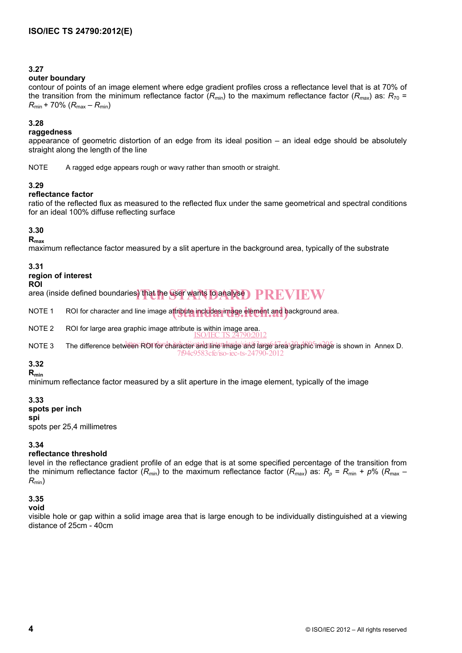## **3.27**

## **outer boundary**

contour of points of an image element where edge gradient profiles cross a reflectance level that is at 70% of the transition from the minimum reflectance factor  $(R_{min})$  to the maximum reflectance factor  $(R_{max})$  as:  $R_{70}$  = *R*min + 70% (*R*max – *R*min)

## **3.28**

## **raggedness**

appearance of geometric distortion of an edge from its ideal position – an ideal edge should be absolutely straight along the length of the line

NOTE A ragged edge appears rough or wavy rather than smooth or straight.

## **3.29**

## **reflectance factor**

ratio of the reflected flux as measured to the reflected flux under the same geometrical and spectral conditions for an ideal 100% diffuse reflecting surface

## **3.30**

#### **Rmax**

maximum reflectance factor measured by a slit aperture in the background area, typically of the substrate

## **3.31**

## **region of interest**

#### **ROI**

area (inside defined boundaries) that the user wants to analyse  $\color{red}\textbf{PREVEW}$ 

NOTE 1 ROI for character and line image attribute includes image element and background area.

NOTE 2 ROI for large area graphic image attribute is within image area. ISO/IEC TS 24790:2012

NOTE 3 The difference between ROI for character and line image and large area graphic image is shown in Annex D. 7f94c9583cfe/iso-iec-ts-24790-2012

## **3.32**

**Rmin**

minimum reflectance factor measured by a slit aperture in the image element, typically of the image

## **3.33**

**spots per inch** 

## **spi**

spots per 25,4 millimetres

## **3.34**

## **reflectance threshold**

level in the reflectance gradient profile of an edge that is at some specified percentage of the transition from the minimum reflectance factor ( $R_{min}$ ) to the maximum reflectance factor ( $R_{max}$ ) as:  $R_p = R_{min} + p$ % ( $R_{max}$  – *R*min)

## **3.35**

**void** 

visible hole or gap within a solid image area that is large enough to be individually distinguished at a viewing distance of 25cm - 40cm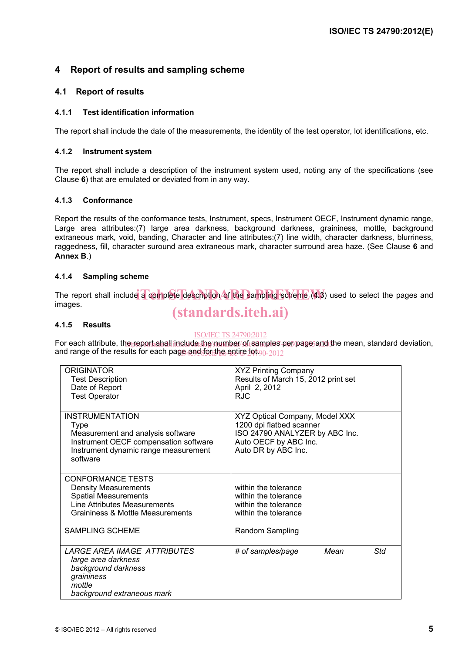## **4 Report of results and sampling scheme**

## **4.1 Report of results**

## **4.1.1 Test identification information**

The report shall include the date of the measurements, the identity of the test operator, lot identifications, etc.

#### **4.1.2 Instrument system**

The report shall include a description of the instrument system used, noting any of the specifications (see Clause **6**) that are emulated or deviated from in any way.

## **4.1.3 Conformance**

Report the results of the conformance tests, Instrument, specs, Instrument OECF, Instrument dynamic range, Large area attributes:(7) large area darkness, background darkness, graininess, mottle, background extraneous mark, void, banding, Character and line attributes:(7) line width, character darkness, blurriness, raggedness, fill, character suround area extraneous mark, character surround area haze. (See Clause **6** and **Annex B**.)

#### **4.1.4 Sampling scheme**

The report shall include a complete description of the sampling scheme (4.3) used to select the pages and images.

## (standards.iteh.ai)

#### **4.1.5 Results**

## ISO/IEC TS 24790:2012

For each attribute, the report shall include the number of samples per page and the mean, standard deviation, and range of the results for each page and for the entire  $1$ ot $\cdot$ 00-2012

| <b>ORIGINATOR</b><br><b>Test Description</b><br>Date of Report<br><b>Test Operator</b>                                                                                               | <b>XYZ Printing Company</b><br>Results of March 15, 2012 print set<br>April 2, 2012<br><b>RJC</b>                                            |
|--------------------------------------------------------------------------------------------------------------------------------------------------------------------------------------|----------------------------------------------------------------------------------------------------------------------------------------------|
| <b>INSTRUMENTATION</b><br>Type<br>Measurement and analysis software<br>Instrument OECF compensation software<br>Instrument dynamic range measurement<br>software                     | XYZ Optical Company, Model XXX<br>1200 dpi flatbed scanner<br>ISO 24790 ANALYZER by ABC Inc.<br>Auto OECF by ABC Inc.<br>Auto DR by ABC Inc. |
| <b>CONFORMANCE TESTS</b><br><b>Density Measurements</b><br><b>Spatial Measurements</b><br>Line Attributes Measurements<br>Graininess & Mottle Measurements<br><b>SAMPLING SCHEME</b> | within the tolerance<br>within the tolerance<br>within the tolerance<br>within the tolerance<br>Random Sampling                              |
| <i>LARGE AREA IMAGE ATTRIBUTES</i><br>large area darkness<br>background darkness<br>graininess<br>mottle<br>background extraneous mark                                               | Mean<br>Std<br># of samples/page                                                                                                             |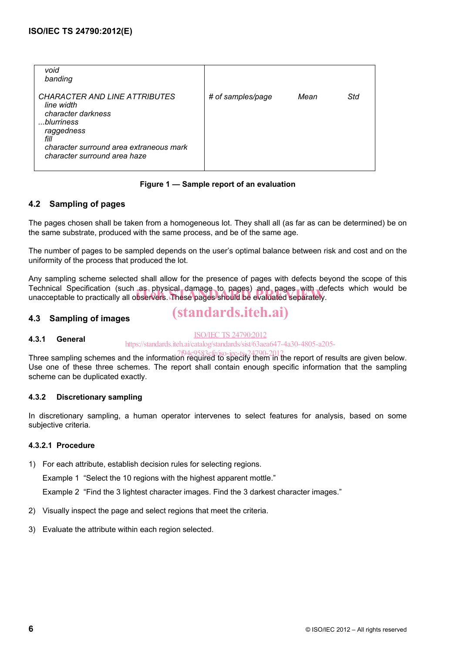| void<br>banding                                                                                                                                                                  |                   |      |     |
|----------------------------------------------------------------------------------------------------------------------------------------------------------------------------------|-------------------|------|-----|
| CHARACTER AND LINE ATTRIBUTES<br>line width<br>character darkness<br>blurriness<br>raggedness<br>fill<br>character surround area extraneous mark<br>character surround area haze | # of samples/page | Mean | Std |

**Figure 1 — Sample report of an evaluation** 

## **4.2 Sampling of pages**

The pages chosen shall be taken from a homogeneous lot. They shall all (as far as can be determined) be on the same substrate, produced with the same process, and be of the same age.

The number of pages to be sampled depends on the user's optimal balance between risk and cost and on the uniformity of the process that produced the lot.

Any sampling scheme selected shall allow for the presence of pages with defects beyond the scope of this Technical Specification (such as physical damage to pages) and pages with defects which would be Technical Specification (such as physical damage to pages) and pages with defer<br>unacceptable to practically all observers. These pages should be evaluated separately.

## **4.3 Sampling of images**

## (standards.iteh.ai)

## **4.3.1 General**

ISO/IEC TS 24790:2012

https://standards.iteh.ai/catalog/standards/sist/63aea647-4a30-4805-a205-

Three sampling schemes and the information required to specify them in the report of results are given below. Use one of these three schemes. The report shall contain enough specific information that the sampling scheme can be duplicated exactly.

## **4.3.2 Discretionary sampling**

In discretionary sampling, a human operator intervenes to select features for analysis, based on some subjective criteria.

## **4.3.2.1 Procedure**

1) For each attribute, establish decision rules for selecting regions.

Example 1 "Select the 10 regions with the highest apparent mottle."

Example 2 "Find the 3 lightest character images. Find the 3 darkest character images."

- 2) Visually inspect the page and select regions that meet the criteria.
- 3) Evaluate the attribute within each region selected.